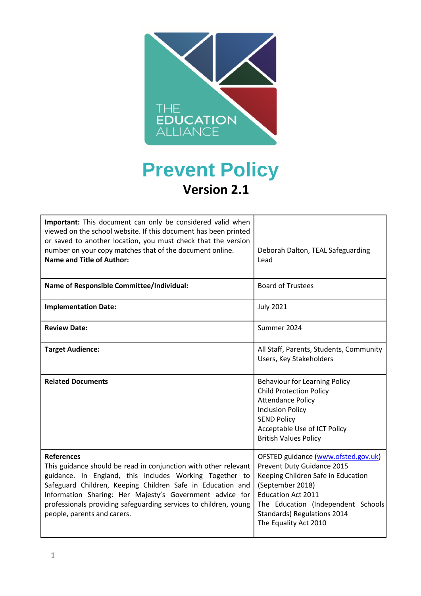

# **Prevent Policy Version 2.1**

| Important: This document can only be considered valid when<br>viewed on the school website. If this document has been printed<br>or saved to another location, you must check that the version<br>number on your copy matches that of the document online.<br><b>Name and Title of Author:</b>                                                                               | Deborah Dalton, TEAL Safeguarding<br>Lead                                                                                                                                                                                                              |
|------------------------------------------------------------------------------------------------------------------------------------------------------------------------------------------------------------------------------------------------------------------------------------------------------------------------------------------------------------------------------|--------------------------------------------------------------------------------------------------------------------------------------------------------------------------------------------------------------------------------------------------------|
| Name of Responsible Committee/Individual:                                                                                                                                                                                                                                                                                                                                    | <b>Board of Trustees</b>                                                                                                                                                                                                                               |
| <b>Implementation Date:</b>                                                                                                                                                                                                                                                                                                                                                  | <b>July 2021</b>                                                                                                                                                                                                                                       |
| <b>Review Date:</b>                                                                                                                                                                                                                                                                                                                                                          | Summer 2024                                                                                                                                                                                                                                            |
| <b>Target Audience:</b>                                                                                                                                                                                                                                                                                                                                                      | All Staff, Parents, Students, Community<br>Users, Key Stakeholders                                                                                                                                                                                     |
| <b>Related Documents</b>                                                                                                                                                                                                                                                                                                                                                     | <b>Behaviour for Learning Policy</b><br><b>Child Protection Policy</b><br><b>Attendance Policy</b><br><b>Inclusion Policy</b><br><b>SEND Policy</b><br>Acceptable Use of ICT Policy<br><b>British Values Policy</b>                                    |
| <b>References</b><br>This guidance should be read in conjunction with other relevant<br>guidance. In England, this includes Working Together to<br>Safeguard Children, Keeping Children Safe in Education and<br>Information Sharing: Her Majesty's Government advice for<br>professionals providing safeguarding services to children, young<br>people, parents and carers. | OFSTED guidance (www.ofsted.gov.uk)<br>Prevent Duty Guidance 2015<br>Keeping Children Safe in Education<br>(September 2018)<br><b>Education Act 2011</b><br>The Education (Independent Schools<br>Standards) Regulations 2014<br>The Equality Act 2010 |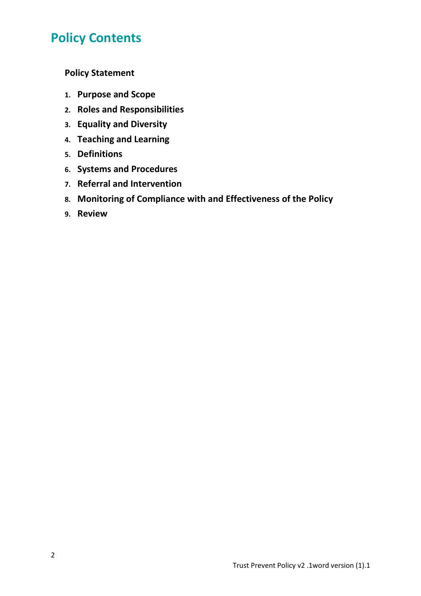# **Policy Contents**

**Policy Statement** 

- **1. Purpose and Scope**
- **2. Roles and Responsibilities**
- **3. Equality and Diversity**
- **4. Teaching and Learning**
- **5. Definitions**
- **6. Systems and Procedures**
- **7. Referral and Intervention**
- **8. Monitoring of Compliance with and Effectiveness of the Policy**
- **9. Review**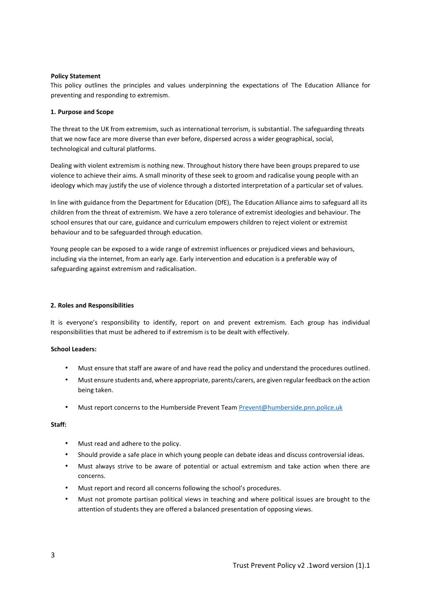#### **Policy Statement**

This policy outlines the principles and values underpinning the expectations of The Education Alliance for preventing and responding to extremism.

#### **1. Purpose and Scope**

The threat to the UK from extremism, such as international terrorism, is substantial. The safeguarding threats that we now face are more diverse than ever before, dispersed across a wider geographical, social, technological and cultural platforms.

Dealing with violent extremism is nothing new. Throughout history there have been groups prepared to use violence to achieve their aims. A small minority of these seek to groom and radicalise young people with an ideology which may justify the use of violence through a distorted interpretation of a particular set of values.

In line with guidance from the Department for Education (DfE), The Education Alliance aims to safeguard all its children from the threat of extremism. We have a zero tolerance of extremist ideologies and behaviour. The school ensures that our care, guidance and curriculum empowers children to reject violent or extremist behaviour and to be safeguarded through education.

Young people can be exposed to a wide range of extremist influences or prejudiced views and behaviours, including via the internet, from an early age. Early intervention and education is a preferable way of safeguarding against extremism and radicalisation.

#### **2. Roles and Responsibilities**

It is everyone's responsibility to identify, report on and prevent extremism. Each group has individual responsibilities that must be adhered to if extremism is to be dealt with effectively.

#### **School Leaders:**

- Must ensure that staff are aware of and have read the policy and understand the procedures outlined.
- Must ensure students and, where appropriate, parents/carers, are given regular feedback on the action being taken.
- Must report concerns to the Humberside Prevent Team [Prevent@humberside.pnn.police.uk](mailto:Prevent@humberside.pnn.police.uk)

#### **Staff:**

- Must read and adhere to the policy.
- Should provide a safe place in which young people can debate ideas and discuss controversial ideas.
- Must always strive to be aware of potential or actual extremism and take action when there are concerns.
- Must report and record all concerns following the school's procedures.
- Must not promote partisan political views in teaching and where political issues are brought to the attention of students they are offered a balanced presentation of opposing views.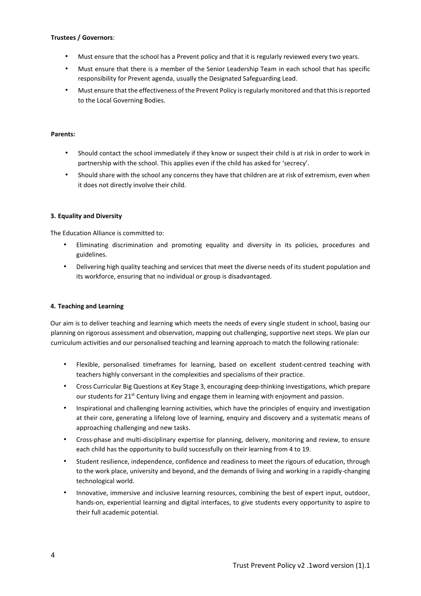#### **Trustees / Governors**:

- Must ensure that the school has a Prevent policy and that it is regularly reviewed every two years.
- Must ensure that there is a member of the Senior Leadership Team in each school that has specific responsibility for Prevent agenda, usually the Designated Safeguarding Lead.
- Must ensure that the effectiveness of the Prevent Policy is regularly monitored and that this is reported to the Local Governing Bodies.

#### **Parents:**

- Should contact the school immediately if they know or suspect their child is at risk in order to work in partnership with the school. This applies even if the child has asked for 'secrecy'.
- Should share with the school any concerns they have that children are at risk of extremism, even when it does not directly involve their child.

#### **3. Equality and Diversity**

The Education Alliance is committed to:

- Eliminating discrimination and promoting equality and diversity in its policies, procedures and guidelines.
- Delivering high quality teaching and services that meet the diverse needs of its student population and its workforce, ensuring that no individual or group is disadvantaged.

## **4. Teaching and Learning**

Our aim is to deliver teaching and learning which meets the needs of every single student in school, basing our planning on rigorous assessment and observation, mapping out challenging, supportive next steps. We plan our curriculum activities and our personalised teaching and learning approach to match the following rationale:

- Flexible, personalised timeframes for learning, based on excellent student-centred teaching with teachers highly conversant in the complexities and specialisms of their practice.
- Cross Curricular Big Questions at Key Stage 3, encouraging deep-thinking investigations, which prepare our students for 21<sup>st</sup> Century living and engage them in learning with enjoyment and passion.
- Inspirational and challenging learning activities, which have the principles of enquiry and investigation at their core, generating a lifelong love of learning, enquiry and discovery and a systematic means of approaching challenging and new tasks.
- Cross-phase and multi-disciplinary expertise for planning, delivery, monitoring and review, to ensure each child has the opportunity to build successfully on their learning from 4 to 19.
- Student resilience, independence, confidence and readiness to meet the rigours of education, through to the work place, university and beyond, and the demands of living and working in a rapidly-changing technological world.
- Innovative, immersive and inclusive learning resources, combining the best of expert input, outdoor, hands-on, experiential learning and digital interfaces, to give students every opportunity to aspire to their full academic potential.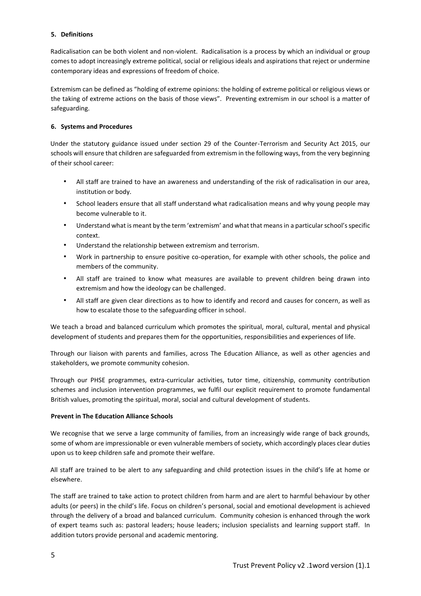#### **5. Definitions**

Radicalisation can be both violent and non-violent. Radicalisation is a process by which an individual or group comes to adopt increasingly extreme political, social or religious ideals and aspirations that reject or undermine contemporary ideas and expressions of freedom of choice.

Extremism can be defined as "holding of extreme opinions: the holding of extreme political or religious views or the taking of extreme actions on the basis of those views". Preventing extremism in our school is a matter of safeguarding.

### **6. Systems and Procedures**

Under the statutory guidance issued under section 29 of the Counter-Terrorism and Security Act 2015, our schools will ensure that children are safeguarded from extremism in the following ways, from the very beginning of their school career:

- All staff are trained to have an awareness and understanding of the risk of radicalisation in our area, institution or body.
- School leaders ensure that all staff understand what radicalisation means and why young people may become vulnerable to it.
- Understand what is meant by the term 'extremism' and what that means in a particular school's specific context.
- Understand the relationship between extremism and terrorism.
- Work in partnership to ensure positive co-operation, for example with other schools, the police and members of the community.
- All staff are trained to know what measures are available to prevent children being drawn into extremism and how the ideology can be challenged.
- All staff are given clear directions as to how to identify and record and causes for concern, as well as how to escalate those to the safeguarding officer in school.

We teach a broad and balanced curriculum which promotes the spiritual, moral, cultural, mental and physical development of students and prepares them for the opportunities, responsibilities and experiences of life.

Through our liaison with parents and families, across The Education Alliance, as well as other agencies and stakeholders, we promote community cohesion.

Through our PHSE programmes, extra-curricular activities, tutor time, citizenship, community contribution schemes and inclusion intervention programmes, we fulfil our explicit requirement to promote fundamental British values, promoting the spiritual, moral, social and cultural development of students.

#### **Prevent in The Education Alliance Schools**

We recognise that we serve a large community of families, from an increasingly wide range of back grounds, some of whom are impressionable or even vulnerable members of society, which accordingly places clear duties upon us to keep children safe and promote their welfare.

All staff are trained to be alert to any safeguarding and child protection issues in the child's life at home or elsewhere.

The staff are trained to take action to protect children from harm and are alert to harmful behaviour by other adults (or peers) in the child's life. Focus on children's personal, social and emotional development is achieved through the delivery of a broad and balanced curriculum. Community cohesion is enhanced through the work of expert teams such as: pastoral leaders; house leaders; inclusion specialists and learning support staff. In addition tutors provide personal and academic mentoring.